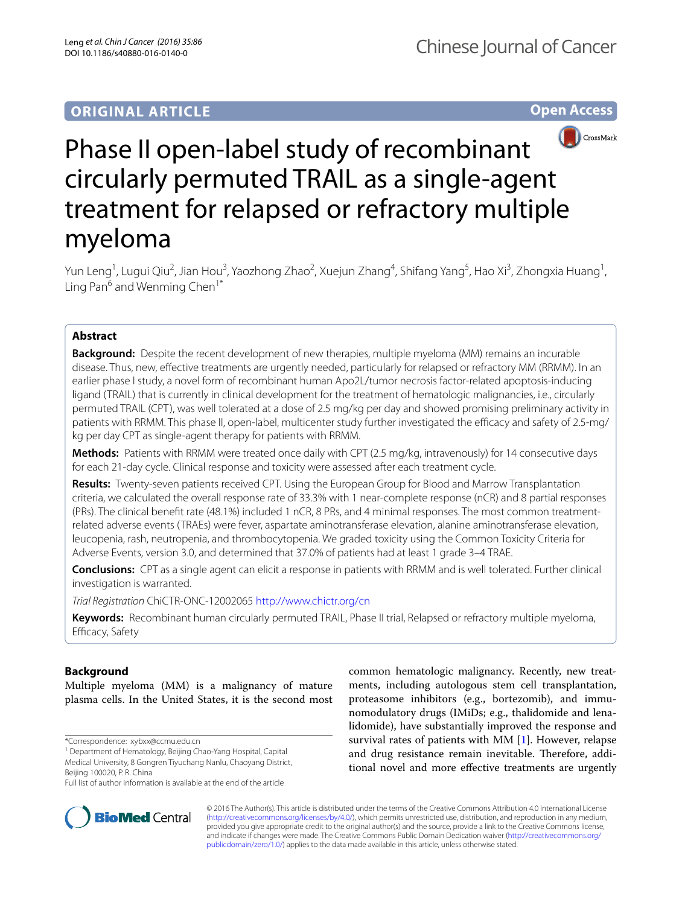**Open Access**



# Phase II open-label study of recombinant circularly permuted TRAIL as a single-agent treatment for relapsed or refractory multiple myeloma

Yun Leng<sup>1</sup>, Lugui Qiu<sup>2</sup>, Jian Hou<sup>3</sup>, Yaozhong Zhao<sup>2</sup>, Xuejun Zhang<sup>4</sup>, Shifang Yang<sup>5</sup>, Hao Xi<sup>3</sup>, Zhongxia Huang<sup>1</sup>, Ling Pan<sup>6</sup> and Wenming Chen<sup>1\*</sup>

# **Abstract**

**Background:** Despite the recent development of new therapies, multiple myeloma (MM) remains an incurable disease. Thus, new, effective treatments are urgently needed, particularly for relapsed or refractory MM (RRMM). In an earlier phase I study, a novel form of recombinant human Apo2L/tumor necrosis factor-related apoptosis-inducing ligand (TRAIL) that is currently in clinical development for the treatment of hematologic malignancies, i.e., circularly permuted TRAIL (CPT), was well tolerated at a dose of 2.5 mg/kg per day and showed promising preliminary activity in patients with RRMM. This phase II, open-label, multicenter study further investigated the efficacy and safety of 2.5-mg/ kg per day CPT as single-agent therapy for patients with RRMM.

**Methods:** Patients with RRMM were treated once daily with CPT (2.5 mg/kg, intravenously) for 14 consecutive days for each 21-day cycle. Clinical response and toxicity were assessed after each treatment cycle.

**Results:** Twenty-seven patients received CPT. Using the European Group for Blood and Marrow Transplantation criteria, we calculated the overall response rate of 33.3% with 1 near-complete response (nCR) and 8 partial responses (PRs). The clinical benefit rate (48.1%) included 1 nCR, 8 PRs, and 4 minimal responses. The most common treatmentrelated adverse events (TRAEs) were fever, aspartate aminotransferase elevation, alanine aminotransferase elevation, leucopenia, rash, neutropenia, and thrombocytopenia. We graded toxicity using the Common Toxicity Criteria for Adverse Events, version 3.0, and determined that 37.0% of patients had at least 1 grade 3–4 TRAE.

**Conclusions:** CPT as a single agent can elicit a response in patients with RRMM and is well tolerated. Further clinical investigation is warranted.

*Trial Registration* ChiCTR-ONC-12002065<http://www.chictr.org/cn>

**Keywords:** Recombinant human circularly permuted TRAIL, Phase II trial, Relapsed or refractory multiple myeloma, Efficacy, Safety

# **Background**

Multiple myeloma (MM) is a malignancy of mature plasma cells. In the United States, it is the second most

\*Correspondence: xybxx@ccmu.edu.cn

<sup>1</sup> Department of Hematology, Beijing Chao-Yang Hospital, Capital Medical University, 8 Gongren Tiyuchang Nanlu, Chaoyang District, Beijing 100020, P. R. China

Full list of author information is available at the end of the article



common hematologic malignancy. Recently, new treatments, including autologous stem cell transplantation, proteasome inhibitors (e.g., bortezomib), and immunomodulatory drugs (IMiDs; e.g., thalidomide and lenalidomide), have substantially improved the response and survival rates of patients with MM [\[1\]](#page-6-0). However, relapse and drug resistance remain inevitable. Therefore, additional novel and more effective treatments are urgently

© 2016 The Author(s). This article is distributed under the terms of the Creative Commons Attribution 4.0 International License [\(http://creativecommons.org/licenses/by/4.0/\)](http://creativecommons.org/licenses/by/4.0/), which permits unrestricted use, distribution, and reproduction in any medium, provided you give appropriate credit to the original author(s) and the source, provide a link to the Creative Commons license, and indicate if changes were made. The Creative Commons Public Domain Dedication waiver ([http://creativecommons.org/](http://creativecommons.org/publicdomain/zero/1.0/) [publicdomain/zero/1.0/](http://creativecommons.org/publicdomain/zero/1.0/)) applies to the data made available in this article, unless otherwise stated.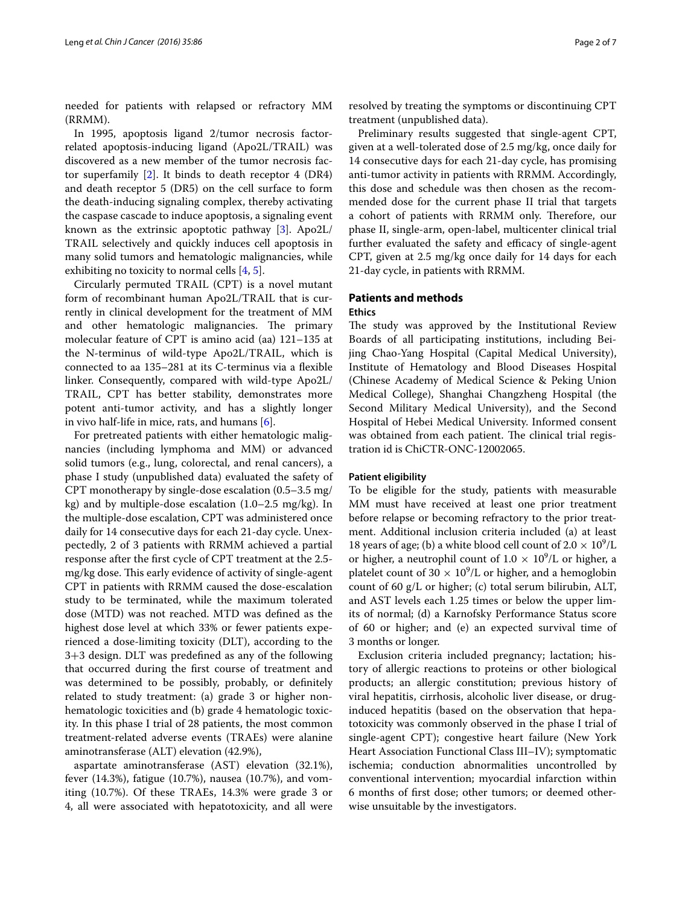needed for patients with relapsed or refractory MM (RRMM).

In 1995, apoptosis ligand 2/tumor necrosis factorrelated apoptosis-inducing ligand (Apo2L/TRAIL) was discovered as a new member of the tumor necrosis factor superfamily [\[2](#page-6-1)]. It binds to death receptor 4 (DR4) and death receptor 5 (DR5) on the cell surface to form the death-inducing signaling complex, thereby activating the caspase cascade to induce apoptosis, a signaling event known as the extrinsic apoptotic pathway [\[3](#page-6-2)]. Apo2L/ TRAIL selectively and quickly induces cell apoptosis in many solid tumors and hematologic malignancies, while exhibiting no toxicity to normal cells [[4](#page-6-3), [5\]](#page-6-4).

Circularly permuted TRAIL (CPT) is a novel mutant form of recombinant human Apo2L/TRAIL that is currently in clinical development for the treatment of MM and other hematologic malignancies. The primary molecular feature of CPT is amino acid (aa) 121–135 at the N-terminus of wild-type Apo2L/TRAIL, which is connected to aa 135–281 at its C-terminus via a flexible linker. Consequently, compared with wild-type Apo2L/ TRAIL, CPT has better stability, demonstrates more potent anti-tumor activity, and has a slightly longer in vivo half-life in mice, rats, and humans [\[6](#page-6-5)].

For pretreated patients with either hematologic malignancies (including lymphoma and MM) or advanced solid tumors (e.g., lung, colorectal, and renal cancers), a phase I study (unpublished data) evaluated the safety of CPT monotherapy by single-dose escalation (0.5–3.5 mg/ kg) and by multiple-dose escalation (1.0–2.5 mg/kg). In the multiple-dose escalation, CPT was administered once daily for 14 consecutive days for each 21-day cycle. Unexpectedly, 2 of 3 patients with RRMM achieved a partial response after the first cycle of CPT treatment at the 2.5 mg/kg dose. This early evidence of activity of single-agent CPT in patients with RRMM caused the dose-escalation study to be terminated, while the maximum tolerated dose (MTD) was not reached. MTD was defined as the highest dose level at which 33% or fewer patients experienced a dose-limiting toxicity (DLT), according to the 3+3 design. DLT was predefined as any of the following that occurred during the first course of treatment and was determined to be possibly, probably, or definitely related to study treatment: (a) grade 3 or higher nonhematologic toxicities and (b) grade 4 hematologic toxicity. In this phase I trial of 28 patients, the most common treatment-related adverse events (TRAEs) were alanine aminotransferase (ALT) elevation (42.9%),

aspartate aminotransferase (AST) elevation (32.1%), fever (14.3%), fatigue (10.7%), nausea (10.7%), and vomiting (10.7%). Of these TRAEs, 14.3% were grade 3 or 4, all were associated with hepatotoxicity, and all were resolved by treating the symptoms or discontinuing CPT treatment (unpublished data).

Preliminary results suggested that single-agent CPT, given at a well-tolerated dose of 2.5 mg/kg, once daily for 14 consecutive days for each 21-day cycle, has promising anti-tumor activity in patients with RRMM. Accordingly, this dose and schedule was then chosen as the recommended dose for the current phase II trial that targets a cohort of patients with RRMM only. Therefore, our phase II, single-arm, open-label, multicenter clinical trial further evaluated the safety and efficacy of single-agent CPT, given at 2.5 mg/kg once daily for 14 days for each 21-day cycle, in patients with RRMM.

# **Patients and methods**

## **Ethics**

The study was approved by the Institutional Review Boards of all participating institutions, including Beijing Chao-Yang Hospital (Capital Medical University), Institute of Hematology and Blood Diseases Hospital (Chinese Academy of Medical Science & Peking Union Medical College), Shanghai Changzheng Hospital (the Second Military Medical University), and the Second Hospital of Hebei Medical University. Informed consent was obtained from each patient. The clinical trial registration id is ChiCTR-ONC-12002065.

## **Patient eligibility**

To be eligible for the study, patients with measurable MM must have received at least one prior treatment before relapse or becoming refractory to the prior treatment. Additional inclusion criteria included (a) at least 18 years of age; (b) a white blood cell count of  $2.0 \times 10^9$ /L or higher, a neutrophil count of  $1.0 \times 10^9$ /L or higher, a platelet count of  $30 \times 10^9$ /L or higher, and a hemoglobin count of 60 g/L or higher; (c) total serum bilirubin, ALT, and AST levels each 1.25 times or below the upper limits of normal; (d) a Karnofsky Performance Status score of 60 or higher; and (e) an expected survival time of 3 months or longer.

Exclusion criteria included pregnancy; lactation; history of allergic reactions to proteins or other biological products; an allergic constitution; previous history of viral hepatitis, cirrhosis, alcoholic liver disease, or druginduced hepatitis (based on the observation that hepatotoxicity was commonly observed in the phase I trial of single-agent CPT); congestive heart failure (New York Heart Association Functional Class III–IV); symptomatic ischemia; conduction abnormalities uncontrolled by conventional intervention; myocardial infarction within 6 months of first dose; other tumors; or deemed otherwise unsuitable by the investigators.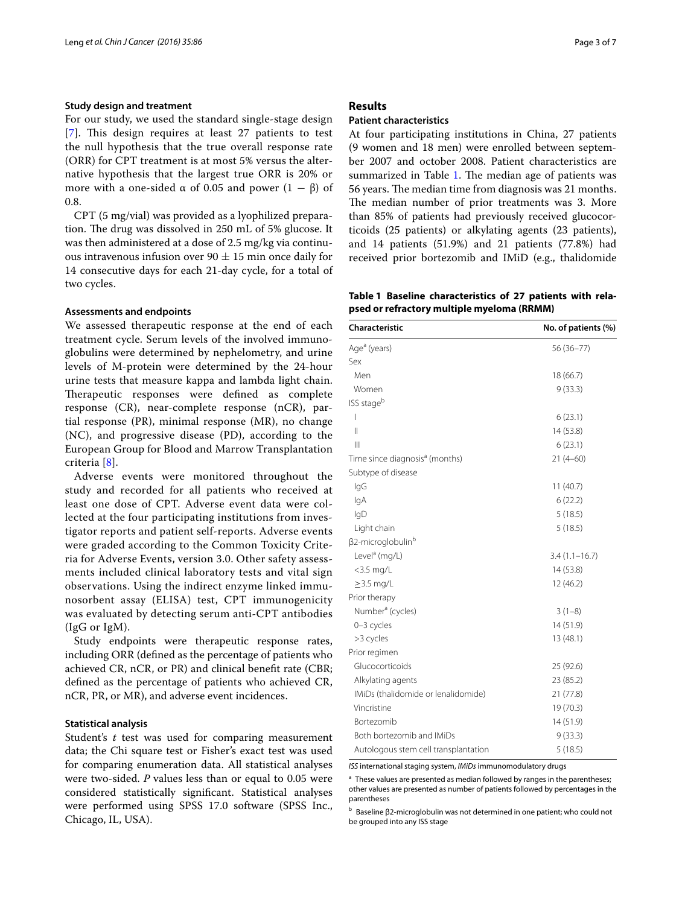# **Study design and treatment**

For our study, we used the standard single-stage design [[7](#page-6-6)]. This design requires at least 27 patients to test the null hypothesis that the true overall response rate (ORR) for CPT treatment is at most 5% versus the alternative hypothesis that the largest true ORR is 20% or more with a one-sided  $\alpha$  of 0.05 and power (1 –  $\beta$ ) of 0.8.

CPT (5 mg/vial) was provided as a lyophilized preparation. The drug was dissolved in 250 mL of 5% glucose. It was then administered at a dose of 2.5 mg/kg via continuous intravenous infusion over  $90 \pm 15$  min once daily for 14 consecutive days for each 21-day cycle, for a total of two cycles.

# **Assessments and endpoints**

We assessed therapeutic response at the end of each treatment cycle. Serum levels of the involved immunoglobulins were determined by nephelometry, and urine levels of M-protein were determined by the 24-hour urine tests that measure kappa and lambda light chain. Therapeutic responses were defined as complete response (CR), near-complete response (nCR), partial response (PR), minimal response (MR), no change (NC), and progressive disease (PD), according to the European Group for Blood and Marrow Transplantation criteria [[8\]](#page-6-7).

Adverse events were monitored throughout the study and recorded for all patients who received at least one dose of CPT. Adverse event data were collected at the four participating institutions from investigator reports and patient self-reports. Adverse events were graded according to the Common Toxicity Criteria for Adverse Events, version 3.0. Other safety assessments included clinical laboratory tests and vital sign observations. Using the indirect enzyme linked immunosorbent assay (ELISA) test, CPT immunogenicity was evaluated by detecting serum anti-CPT antibodies (IgG or IgM).

Study endpoints were therapeutic response rates, including ORR (defined as the percentage of patients who achieved CR, nCR, or PR) and clinical benefit rate (CBR; defined as the percentage of patients who achieved CR, nCR, PR, or MR), and adverse event incidences.

# **Statistical analysis**

Student's *t* test was used for comparing measurement data; the Chi square test or Fisher's exact test was used for comparing enumeration data. All statistical analyses were two-sided. *P* values less than or equal to 0.05 were considered statistically significant. Statistical analyses were performed using SPSS 17.0 software (SPSS Inc., Chicago, IL, USA).

# **Results**

## **Patient characteristics**

At four participating institutions in China, 27 patients (9 women and 18 men) were enrolled between september 2007 and october 2008. Patient characteristics are summarized in Table [1.](#page-2-0) The median age of patients was 56 years. The median time from diagnosis was 21 months. The median number of prior treatments was 3. More than 85% of patients had previously received glucocorticoids (25 patients) or alkylating agents (23 patients), and 14 patients (51.9%) and 21 patients (77.8%) had received prior bortezomib and IMiD (e.g., thalidomide

<span id="page-2-0"></span>**Table 1 Baseline characteristics of 27 patients with relapsed or refractory multiple myeloma (RRMM)**

| <b>Characteristic</b>                      | No. of patients (%) |
|--------------------------------------------|---------------------|
| Age <sup>a</sup> (years)                   | 56 (36-77)          |
| Sex                                        |                     |
| Men                                        | 18 (66.7)           |
| Women                                      | 9(33.3)             |
| ISS stageb                                 |                     |
| $\overline{\phantom{a}}$                   | 6(23.1)             |
| $\mathsf{II}$                              | 14 (53.8)           |
| $\mathbf{III}$                             | 6(23.1)             |
| Time since diagnosis <sup>a</sup> (months) | $21(4 - 60)$        |
| Subtype of disease                         |                     |
| lgG                                        | 11(40.7)            |
| lgA                                        | 6(22.2)             |
| IgD                                        | 5(18.5)             |
| Light chain                                | 5(18.5)             |
| β2-microglobulin <sup>b</sup>              |                     |
| Level <sup>a</sup> (mg/L)                  | $3.4(1.1-16.7)$     |
| $<$ 3.5 mg/L                               | 14 (53.8)           |
| $\geq$ 3.5 mg/L                            | 12 (46.2)           |
| Prior therapy                              |                     |
| Number <sup>a</sup> (cycles)               | $3(1-8)$            |
| 0-3 cycles                                 | 14 (51.9)           |
| >3 cycles                                  | 13 (48.1)           |
| Prior regimen                              |                     |
| Glucocorticoids                            | 25 (92.6)           |
| Alkylating agents                          | 23 (85.2)           |
| IMiDs (thalidomide or lenalidomide)        | 21 (77.8)           |
| Vincristine                                | 19 (70.3)           |
| Bortezomib                                 | 14 (51.9)           |
| Both bortezomib and IMiDs                  | 9(33.3)             |
| Autologous stem cell transplantation       | 5(18.5)             |

*ISS* international staging system, *IMiDs* immunomodulatory drugs

<sup>a</sup> These values are presented as median followed by ranges in the parentheses; other values are presented as number of patients followed by percentages in the parentheses

<sup>b</sup> Baseline β2-microglobulin was not determined in one patient; who could not be grouped into any ISS stage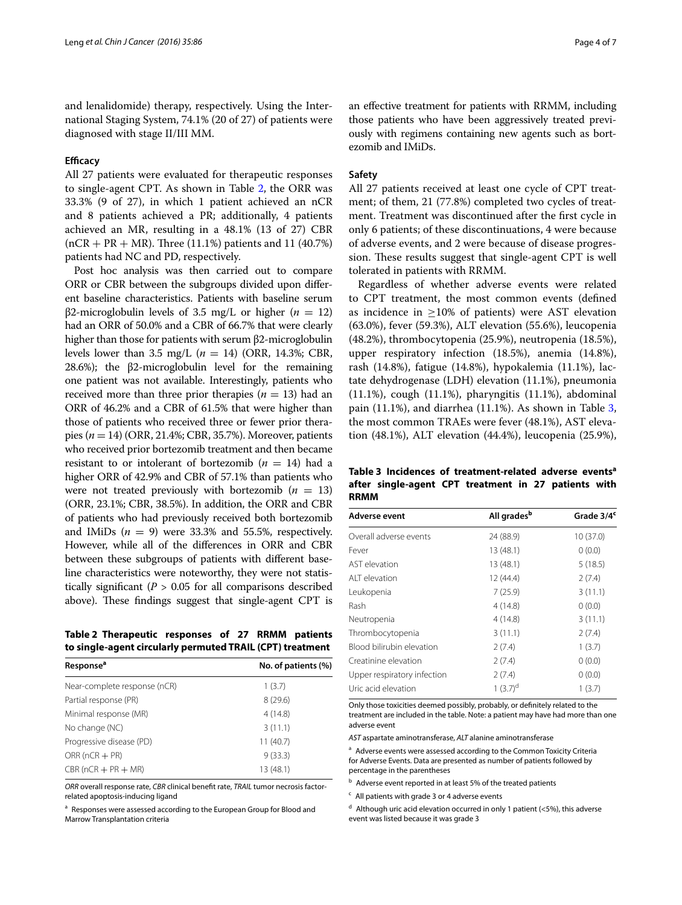and lenalidomide) therapy, respectively. Using the International Staging System, 74.1% (20 of 27) of patients were diagnosed with stage II/III MM.

## **Efficacy**

All 27 patients were evaluated for therapeutic responses to single-agent CPT. As shown in Table [2](#page-3-0), the ORR was 33.3% (9 of 27), in which 1 patient achieved an nCR and 8 patients achieved a PR; additionally, 4 patients achieved an MR, resulting in a 48.1% (13 of 27) CBR  $(nCR + PR + MR)$ . Three (11.1%) patients and 11 (40.7%) patients had NC and PD, respectively.

Post hoc analysis was then carried out to compare ORR or CBR between the subgroups divided upon different baseline characteristics. Patients with baseline serum  $β2$ -microglobulin levels of 3.5 mg/L or higher (*n* = 12) had an ORR of 50.0% and a CBR of 66.7% that were clearly higher than those for patients with serum β2-microglobulin levels lower than 3.5 mg/L (*n* = 14) (ORR, 14.3%; CBR, 28.6%); the β2-microglobulin level for the remaining one patient was not available. Interestingly, patients who received more than three prior therapies  $(n = 13)$  had an ORR of 46.2% and a CBR of 61.5% that were higher than those of patients who received three or fewer prior therapies (*n* = 14) (ORR, 21.4%; CBR, 35.7%). Moreover, patients who received prior bortezomib treatment and then became resistant to or intolerant of bortezomib  $(n = 14)$  had a higher ORR of 42.9% and CBR of 57.1% than patients who were not treated previously with bortezomib  $(n = 13)$ (ORR, 23.1%; CBR, 38.5%). In addition, the ORR and CBR of patients who had previously received both bortezomib and IMiDs  $(n = 9)$  were 33.3% and 55.5%, respectively. However, while all of the differences in ORR and CBR between these subgroups of patients with different baseline characteristics were noteworthy, they were not statistically significant ( $P > 0.05$  for all comparisons described above). These findings suggest that single-agent CPT is

<span id="page-3-0"></span>**Table 2 Therapeutic responses of 27 RRMM patients to single-agent circularly permuted TRAIL (CPT) treatment**

| Response <sup>a</sup>        | No. of patients (%) |  |  |
|------------------------------|---------------------|--|--|
| Near-complete response (nCR) | 1(3.7)              |  |  |
| Partial response (PR)        | 8(29.6)             |  |  |
| Minimal response (MR)        | 4(14.8)             |  |  |
| No change (NC)               | 3(11.1)             |  |  |
| Progressive disease (PD)     | 11(40.7)            |  |  |
| $ORR(nCR + PR)$              | 9(33.3)             |  |  |
| $CBR(nCR + PR + MR)$         | 13 (48.1)           |  |  |
|                              |                     |  |  |

*ORR* overall response rate, *CBR* clinical benefit rate, *TRAIL* tumor necrosis factorrelated apoptosis-inducing ligand

<sup>a</sup> Responses were assessed according to the European Group for Blood and Marrow Transplantation criteria

an effective treatment for patients with RRMM, including those patients who have been aggressively treated previously with regimens containing new agents such as bortezomib and IMiDs.

# **Safety**

All 27 patients received at least one cycle of CPT treatment; of them, 21 (77.8%) completed two cycles of treatment. Treatment was discontinued after the first cycle in only 6 patients; of these discontinuations, 4 were because of adverse events, and 2 were because of disease progression. These results suggest that single-agent CPT is well tolerated in patients with RRMM.

Regardless of whether adverse events were related to CPT treatment, the most common events (defined as incidence in  $\geq$ 10% of patients) were AST elevation (63.0%), fever (59.3%), ALT elevation (55.6%), leucopenia (48.2%), thrombocytopenia (25.9%), neutropenia (18.5%), upper respiratory infection (18.5%), anemia (14.8%), rash (14.8%), fatigue (14.8%), hypokalemia (11.1%), lactate dehydrogenase (LDH) elevation (11.1%), pneumonia (11.1%), cough (11.1%), pharyngitis (11.1%), abdominal pain (11.1%), and diarrhea (11.1%). As shown in Table [3](#page-3-1), the most common TRAEs were fever (48.1%), AST elevation (48.1%), ALT elevation (44.4%), leucopenia (25.9%),

<span id="page-3-1"></span>**Table 3** Incidences of treatment-related adverse events<sup>a</sup> **after single-agent CPT treatment in 27 patients with RRMM**

| Adverse event               | All grades <sup>b</sup> | Grade 3/4 <sup>c</sup> |
|-----------------------------|-------------------------|------------------------|
| Overall adverse events      | 24 (88.9)               | 10 (37.0)              |
| Fever                       | 13(48.1)                | 0(0.0)                 |
| AST elevation               | 13(48.1)                | 5(18.5)                |
| ALT elevation               | 12 (44.4)               | 2(7.4)                 |
| Leukopenia                  | 7(25.9)                 | 3(11.1)                |
| Rash                        | 4(14.8)                 | 0(0.0)                 |
| Neutropenia                 | 4(14.8)                 | 3(11.1)                |
| Thrombocytopenia            | 3(11.1)                 | 2(7.4)                 |
| Blood bilirubin elevation   | 2(7.4)                  | 1(3.7)                 |
| Creatinine elevation        | 2(7.4)                  | 0(0.0)                 |
| Upper respiratory infection | 2(7.4)                  | 0(0.0)                 |
| Uric acid elevation         | $1(3.7)^d$              | 1(3.7)                 |

Only those toxicities deemed possibly, probably, or definitely related to the treatment are included in the table. Note: a patient may have had more than one adverse event

*AST* aspartate aminotransferase, *ALT* alanine aminotransferase

<sup>a</sup> Adverse events were assessed according to the Common Toxicity Criteria for Adverse Events. Data are presented as number of patients followed by percentage in the parentheses

<sup>b</sup> Adverse event reported in at least 5% of the treated patients

 $c$  All patients with grade 3 or 4 adverse events

 $d$  Although uric acid elevation occurred in only 1 patient (<5%), this adverse event was listed because it was grade 3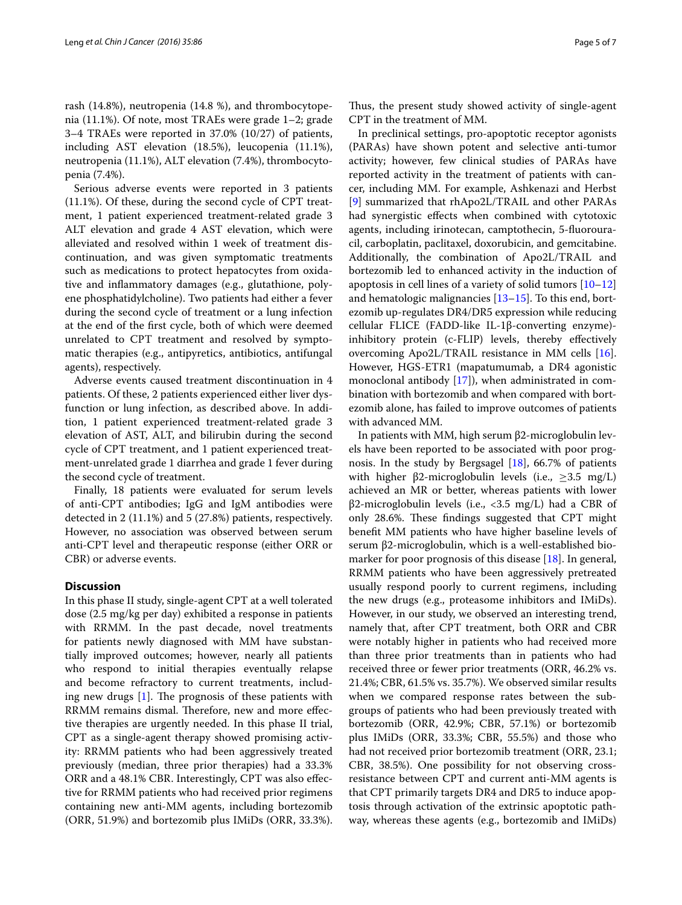rash (14.8%), neutropenia (14.8 %), and thrombocytopenia (11.1%). Of note, most TRAEs were grade 1–2; grade 3–4 TRAEs were reported in 37.0% (10/27) of patients, including AST elevation (18.5%), leucopenia (11.1%), neutropenia (11.1%), ALT elevation (7.4%), thrombocytopenia (7.4%).

Serious adverse events were reported in 3 patients (11.1%). Of these, during the second cycle of CPT treatment, 1 patient experienced treatment-related grade 3 ALT elevation and grade 4 AST elevation, which were alleviated and resolved within 1 week of treatment discontinuation, and was given symptomatic treatments such as medications to protect hepatocytes from oxidative and inflammatory damages (e.g., glutathione, polyene phosphatidylcholine). Two patients had either a fever during the second cycle of treatment or a lung infection at the end of the first cycle, both of which were deemed unrelated to CPT treatment and resolved by symptomatic therapies (e.g., antipyretics, antibiotics, antifungal agents), respectively.

Adverse events caused treatment discontinuation in 4 patients. Of these, 2 patients experienced either liver dysfunction or lung infection, as described above. In addition, 1 patient experienced treatment-related grade 3 elevation of AST, ALT, and bilirubin during the second cycle of CPT treatment, and 1 patient experienced treatment-unrelated grade 1 diarrhea and grade 1 fever during the second cycle of treatment.

Finally, 18 patients were evaluated for serum levels of anti-CPT antibodies; IgG and IgM antibodies were detected in 2 (11.1%) and 5 (27.8%) patients, respectively. However, no association was observed between serum anti-CPT level and therapeutic response (either ORR or CBR) or adverse events.

# **Discussion**

In this phase II study, single-agent CPT at a well tolerated dose (2.5 mg/kg per day) exhibited a response in patients with RRMM. In the past decade, novel treatments for patients newly diagnosed with MM have substantially improved outcomes; however, nearly all patients who respond to initial therapies eventually relapse and become refractory to current treatments, including new drugs [\[1](#page-6-0)]. The prognosis of these patients with RRMM remains dismal. Therefore, new and more effective therapies are urgently needed. In this phase II trial, CPT as a single-agent therapy showed promising activity: RRMM patients who had been aggressively treated previously (median, three prior therapies) had a 33.3% ORR and a 48.1% CBR. Interestingly, CPT was also effective for RRMM patients who had received prior regimens containing new anti-MM agents, including bortezomib (ORR, 51.9%) and bortezomib plus IMiDs (ORR, 33.3%).

Thus, the present study showed activity of single-agent CPT in the treatment of MM.

In preclinical settings, pro-apoptotic receptor agonists (PARAs) have shown potent and selective anti-tumor activity; however, few clinical studies of PARAs have reported activity in the treatment of patients with cancer, including MM. For example, Ashkenazi and Herbst [[9\]](#page-6-8) summarized that rhApo2L/TRAIL and other PARAs had synergistic effects when combined with cytotoxic agents, including irinotecan, camptothecin, 5-fluorouracil, carboplatin, paclitaxel, doxorubicin, and gemcitabine. Additionally, the combination of Apo2L/TRAIL and bortezomib led to enhanced activity in the induction of apoptosis in cell lines of a variety of solid tumors  $[10-12]$  $[10-12]$  $[10-12]$ and hematologic malignancies [\[13–](#page-6-11)[15\]](#page-6-12). To this end, bortezomib up-regulates DR4/DR5 expression while reducing cellular FLICE (FADD-like IL-1β-converting enzyme) inhibitory protein (c-FLIP) levels, thereby effectively overcoming Apo2L/TRAIL resistance in MM cells [\[16](#page-6-13)]. However, HGS-ETR1 (mapatumumab, a DR4 agonistic monoclonal antibody [[17\]](#page-6-14)), when administrated in combination with bortezomib and when compared with bortezomib alone, has failed to improve outcomes of patients with advanced MM.

In patients with MM, high serum β2-microglobulin levels have been reported to be associated with poor prognosis. In the study by Bergsagel  $[18]$ , 66.7% of patients with higher β2-microglobulin levels (i.e.,  $\geq$ 3.5 mg/L) achieved an MR or better, whereas patients with lower β2-microglobulin levels (i.e., <3.5 mg/L) had a CBR of only 28.6%. These findings suggested that CPT might benefit MM patients who have higher baseline levels of serum β2-microglobulin, which is a well-established bio-marker for poor prognosis of this disease [[18\]](#page-6-15). In general, RRMM patients who have been aggressively pretreated usually respond poorly to current regimens, including the new drugs (e.g., proteasome inhibitors and IMiDs). However, in our study, we observed an interesting trend, namely that, after CPT treatment, both ORR and CBR were notably higher in patients who had received more than three prior treatments than in patients who had received three or fewer prior treatments (ORR, 46.2% vs. 21.4%; CBR, 61.5% vs. 35.7%). We observed similar results when we compared response rates between the subgroups of patients who had been previously treated with bortezomib (ORR, 42.9%; CBR, 57.1%) or bortezomib plus IMiDs (ORR, 33.3%; CBR, 55.5%) and those who had not received prior bortezomib treatment (ORR, 23.1; CBR, 38.5%). One possibility for not observing crossresistance between CPT and current anti-MM agents is that CPT primarily targets DR4 and DR5 to induce apoptosis through activation of the extrinsic apoptotic pathway, whereas these agents (e.g., bortezomib and IMiDs)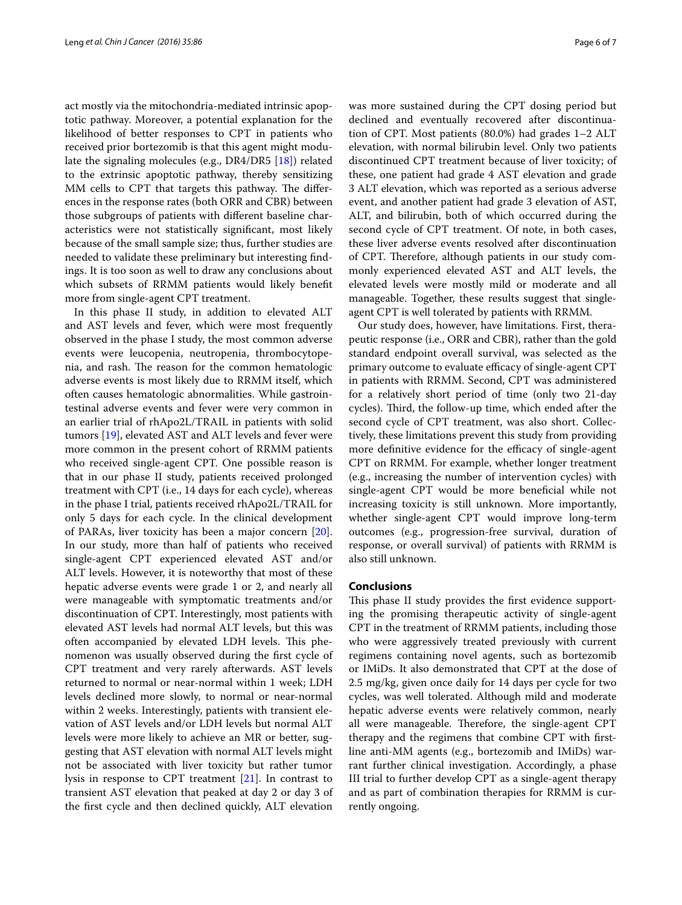act mostly via the mitochondria-mediated intrinsic apoptotic pathway. Moreover, a potential explanation for the likelihood of better responses to CPT in patients who received prior bortezomib is that this agent might modulate the signaling molecules (e.g., DR4/DR5 [\[18\]](#page-6-15)) related to the extrinsic apoptotic pathway, thereby sensitizing MM cells to CPT that targets this pathway. The differences in the response rates (both ORR and CBR) between those subgroups of patients with different baseline characteristics were not statistically significant, most likely because of the small sample size; thus, further studies are needed to validate these preliminary but interesting findings. It is too soon as well to draw any conclusions about which subsets of RRMM patients would likely benefit more from single-agent CPT treatment.

In this phase II study, in addition to elevated ALT and AST levels and fever, which were most frequently observed in the phase I study, the most common adverse events were leucopenia, neutropenia, thrombocytopenia, and rash. The reason for the common hematologic adverse events is most likely due to RRMM itself, which often causes hematologic abnormalities. While gastrointestinal adverse events and fever were very common in an earlier trial of rhApo2L/TRAIL in patients with solid tumors [[19\]](#page-6-16), elevated AST and ALT levels and fever were more common in the present cohort of RRMM patients who received single-agent CPT. One possible reason is that in our phase II study, patients received prolonged treatment with CPT (i.e., 14 days for each cycle), whereas in the phase I trial, patients received rhApo2L/TRAIL for only 5 days for each cycle. In the clinical development of PARAs, liver toxicity has been a major concern [\[20](#page-6-17)]. In our study, more than half of patients who received single-agent CPT experienced elevated AST and/or ALT levels. However, it is noteworthy that most of these hepatic adverse events were grade 1 or 2, and nearly all were manageable with symptomatic treatments and/or discontinuation of CPT. Interestingly, most patients with elevated AST levels had normal ALT levels, but this was often accompanied by elevated LDH levels. This phenomenon was usually observed during the first cycle of CPT treatment and very rarely afterwards. AST levels returned to normal or near-normal within 1 week; LDH levels declined more slowly, to normal or near-normal within 2 weeks. Interestingly, patients with transient elevation of AST levels and/or LDH levels but normal ALT levels were more likely to achieve an MR or better, suggesting that AST elevation with normal ALT levels might not be associated with liver toxicity but rather tumor lysis in response to CPT treatment [[21\]](#page-6-18). In contrast to transient AST elevation that peaked at day 2 or day 3 of the first cycle and then declined quickly, ALT elevation was more sustained during the CPT dosing period but declined and eventually recovered after discontinuation of CPT. Most patients (80.0%) had grades 1–2 ALT elevation, with normal bilirubin level. Only two patients discontinued CPT treatment because of liver toxicity; of these, one patient had grade 4 AST elevation and grade 3 ALT elevation, which was reported as a serious adverse event, and another patient had grade 3 elevation of AST, ALT, and bilirubin, both of which occurred during the second cycle of CPT treatment. Of note, in both cases, these liver adverse events resolved after discontinuation of CPT. Therefore, although patients in our study commonly experienced elevated AST and ALT levels, the elevated levels were mostly mild or moderate and all manageable. Together, these results suggest that singleagent CPT is well tolerated by patients with RRMM.

Our study does, however, have limitations. First, therapeutic response (i.e., ORR and CBR), rather than the gold standard endpoint overall survival, was selected as the primary outcome to evaluate efficacy of single-agent CPT in patients with RRMM. Second, CPT was administered for a relatively short period of time (only two 21-day cycles). Third, the follow-up time, which ended after the second cycle of CPT treatment, was also short. Collectively, these limitations prevent this study from providing more definitive evidence for the efficacy of single-agent CPT on RRMM. For example, whether longer treatment (e.g., increasing the number of intervention cycles) with single-agent CPT would be more beneficial while not increasing toxicity is still unknown. More importantly, whether single-agent CPT would improve long-term outcomes (e.g., progression-free survival, duration of response, or overall survival) of patients with RRMM is also still unknown.

# **Conclusions**

This phase II study provides the first evidence supporting the promising therapeutic activity of single-agent CPT in the treatment of RRMM patients, including those who were aggressively treated previously with current regimens containing novel agents, such as bortezomib or IMiDs. It also demonstrated that CPT at the dose of 2.5 mg/kg, given once daily for 14 days per cycle for two cycles, was well tolerated. Although mild and moderate hepatic adverse events were relatively common, nearly all were manageable. Therefore, the single-agent CPT therapy and the regimens that combine CPT with firstline anti-MM agents (e.g., bortezomib and IMiDs) warrant further clinical investigation. Accordingly, a phase III trial to further develop CPT as a single-agent therapy and as part of combination therapies for RRMM is currently ongoing.